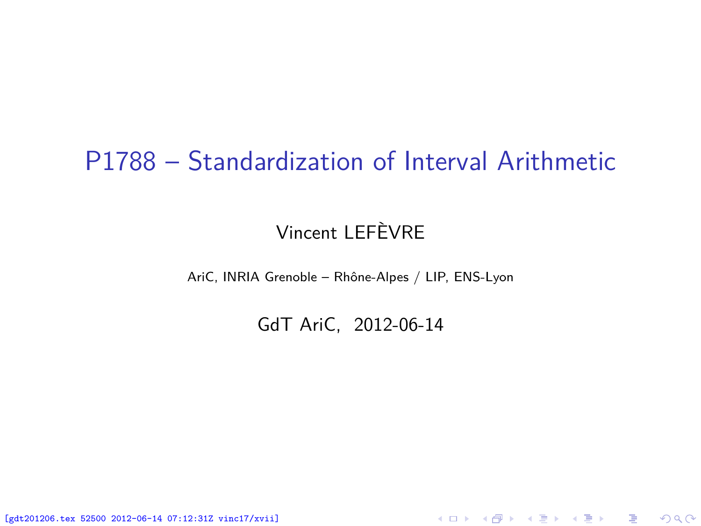## P1788 – Standardization of Interval Arithmetic

### Vincent LEFÈVRE

AriC, INRIA Grenoble – Rhône-Alpes / LIP, ENS-Lyon

GdT AriC, 2012-06-14

<span id="page-0-0"></span>K ロ ▶ K @ ▶ K 할 ▶ K 할 ▶ 이 할 → 900

[gdt201206.tex 52500 2012-06-14 07:12:31Z vinc17/xvii]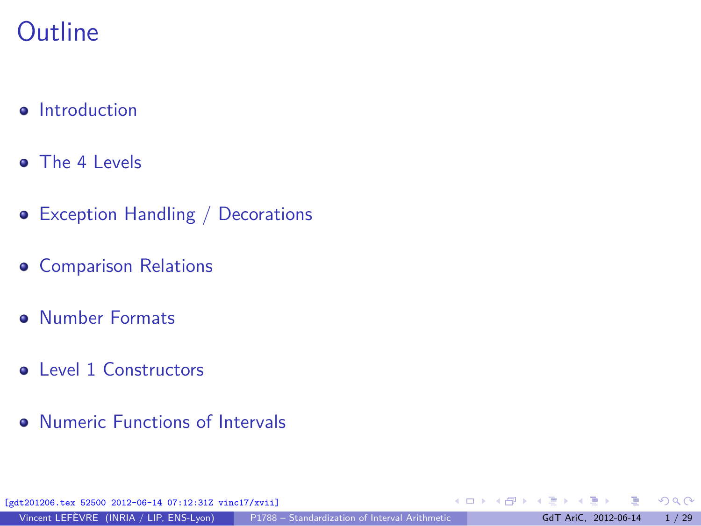# **Outline**

- **o** [Introduction](#page-2-0)
- [The 4 Levels](#page-13-0)
- [Exception Handling / Decorations](#page-14-0)
- **[Comparison Relations](#page-33-0)**
- **[Number Formats](#page-38-0)**
- [Level 1 Constructors](#page-41-0)
- [Numeric Functions of Intervals](#page-42-0)

[gdt201206.tex 52500 2012-06-14 07:12:31Z vinc17/xvii]

 $299$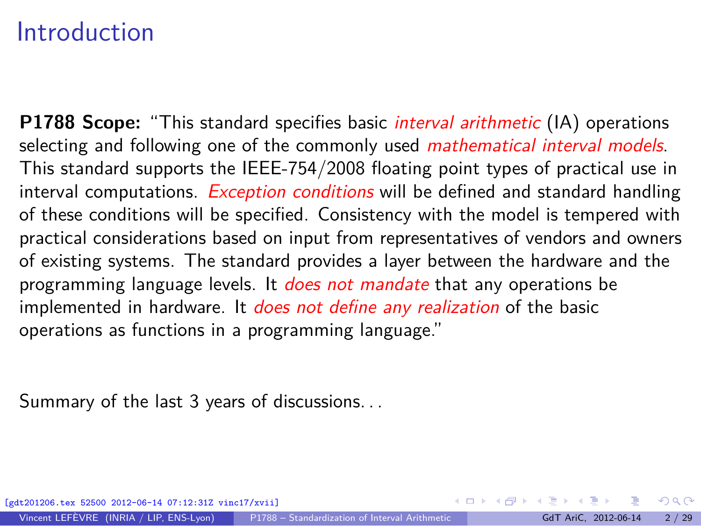## Introduction

**P1788 Scope:** "This standard specifies basic interval arithmetic (IA) operations selecting and following one of the commonly used *mathematical interval models*. This standard supports the IEEE-754/2008 floating point types of practical use in interval computations. *Exception conditions* will be defined and standard handling of these conditions will be specified. Consistency with the model is tempered with practical considerations based on input from representatives of vendors and owners of existing systems. The standard provides a layer between the hardware and the programming language levels. It *does not mandate* that any operations be implemented in hardware. It *does not define any realization* of the basic operations as functions in a programming language."

Summary of the last 3 years of discussions. . .

<span id="page-2-0"></span> $\Omega$ 

 $\left\{ \begin{array}{ccc} 1 & 0 & 0 \\ 0 & 1 & 0 \end{array} \right.$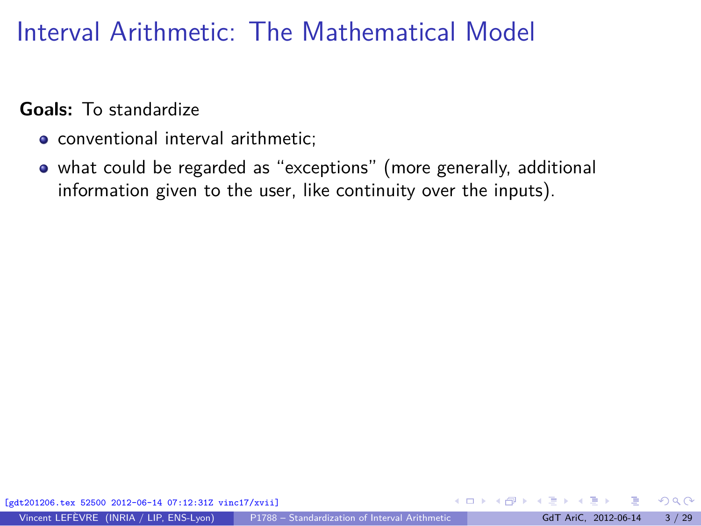# Interval Arithmetic: The Mathematical Model

#### **Goals:** To standardize

- conventional interval arithmetic;
- what could be regarded as "exceptions" (more generally, additional information given to the user, like continuity over the inputs).

 $\Omega$ 

 $\left\{ \left| \left| \left| \left| \left| \Phi \right| \right| \right| \right| \right\} \right\}$   $\left\{ \left| \left| \left| \left| \Phi \right| \right| \right\} \right\}$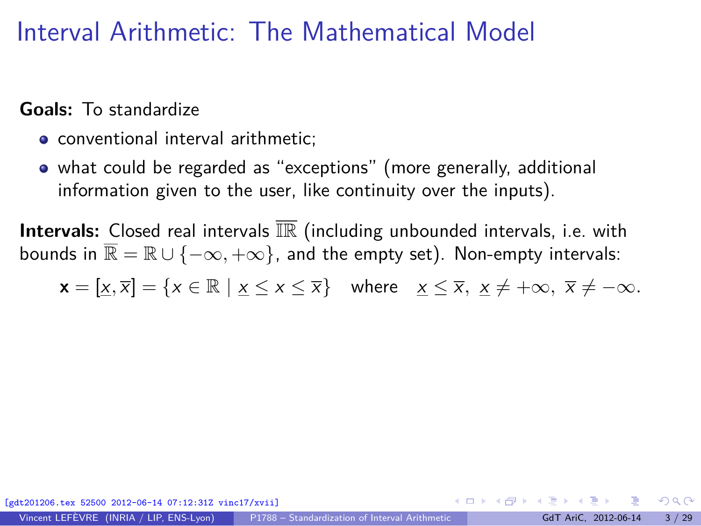## Interval Arithmetic: The Mathematical Model

#### **Goals:** To standardize

- conventional interval arithmetic:
- what could be regarded as "exceptions" (more generally, additional information given to the user, like continuity over the inputs).

**Intervals:** Closed real intervals  $\overline{\mathbb{IR}}$  (including unbounded intervals, i.e. with bounds in  $\mathbb{R} = \mathbb{R} \cup \{-\infty, +\infty\}$ , and the empty set). Non-empty intervals:

 $\mathbf{x} = [\mathbf{x}, \overline{\mathbf{x}}] = \{ \mathbf{x} \in \mathbb{R} \mid \mathbf{x} \leq \mathbf{x} \leq \overline{\mathbf{x}} \}$  where  $\mathbf{x} \leq \overline{\mathbf{x}}, \mathbf{x} \neq +\infty, \ \overline{\mathbf{x}} \neq -\infty.$ 

 $\Omega$ 

イロト イ押 トイヨ トイヨト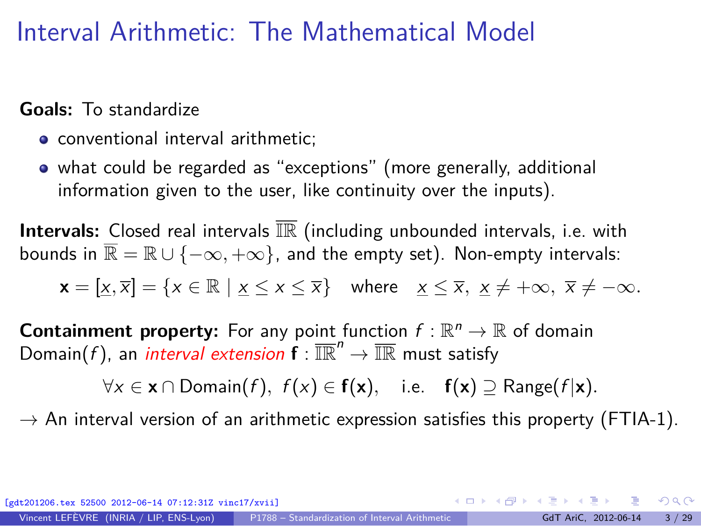# Interval Arithmetic: The Mathematical Model

#### **Goals:** To standardize

- conventional interval arithmetic:
- what could be regarded as "exceptions" (more generally, additional information given to the user, like continuity over the inputs).

**Intervals:** Closed real intervals IR (including unbounded intervals, i.e. with bounds in  $\mathbb{R} = \mathbb{R} \cup \{-\infty, +\infty\}$ , and the empty set). Non-empty intervals:

$$
\mathbf{x} = [\underline{x}, \overline{x}] = \{ x \in \mathbb{R} \mid \underline{x} \le x \le \overline{x} \} \quad \text{where} \quad \underline{x} \le \overline{x}, \ \underline{x} \ne +\infty, \ \overline{x} \ne -\infty.
$$

**Containment property:** For any point function  $f : \mathbb{R}^n \to \mathbb{R}$  of domain Domain(f), an *interval extension*  $f : \overline{\mathbb{IR}}^n \to \overline{\mathbb{IR}}$  must satisfy

 $\forall x \in \mathbf{x} \cap$  Domain(f),  $f(x) \in f(\mathbf{x})$ , i.e.  $f(\mathbf{x}) \supset \text{Range}(f|\mathbf{x})$ .

 $\rightarrow$  An interval version of an arithmetic expression satisfies this property (FTIA-1).

 $\Omega$ 

 $(1, 1)$   $(1, 1)$   $(1, 1)$   $(1, 1)$   $(1, 1)$   $(1, 1)$   $(1, 1)$   $(1, 1)$   $(1, 1)$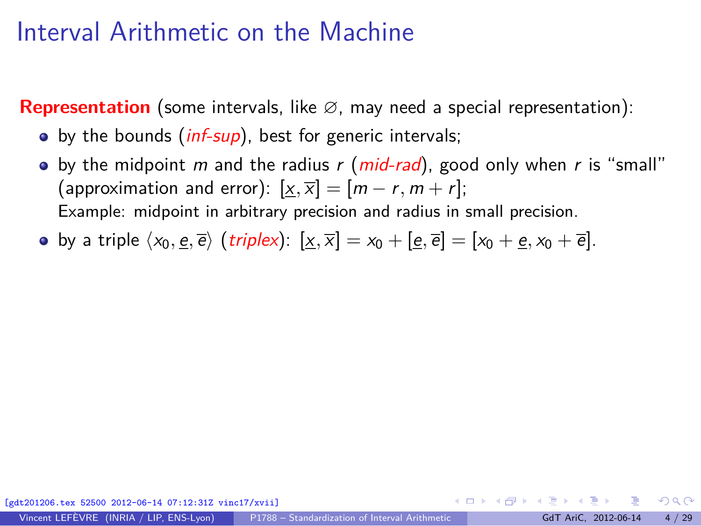## Interval Arithmetic on the Machine

**Representation** (some intervals, like ∅, may need a special representation):

- $\bullet$  by the bounds (*inf-sup*), best for generic intervals;
- by the midpoint m and the radius r (mid-rad), good only when r is "small" (approximation and error):  $[\underline{x}, \overline{x}] = [m - r, m + r]$ ; Example: midpoint in arbitrary precision and radius in small precision.
- by a triple  $\langle x_0, \underline{e}, \overline{e} \rangle$  (*triplex*):  $[x, \overline{x}] = x_0 + [\underline{e}, \overline{e}] = [x_0 + \underline{e}, x_0 + \overline{e}].$

 $\Omega$ 

イロト イ押 トイヨ トイヨー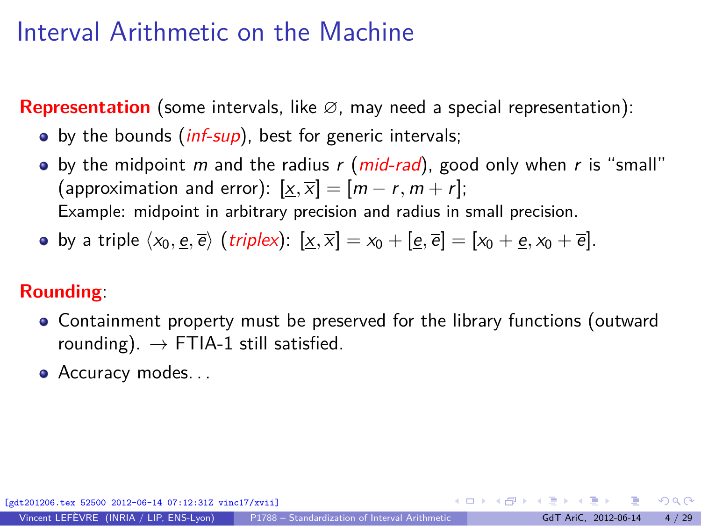## Interval Arithmetic on the Machine

**Representation** (some intervals, like ∅, may need a special representation):

- $\bullet$  by the bounds (*inf-sup*), best for generic intervals;
- by the midpoint m and the radius r (mid-rad), good only when r is "small" (approximation and error):  $[x,\overline{x}] = [m-r, m + r]$ ; Example: midpoint in arbitrary precision and radius in small precision.
- by a triple  $\langle x_0, \underline{e}, \overline{e} \rangle$  (*triplex*):  $[x, \overline{x}] = x_0 + [\underline{e}, \overline{e}] = [x_0 + \underline{e}, x_0 + \overline{e}].$

### **Rounding**:

- Containment property must be preserved for the library functions (outward rounding).  $\rightarrow$  FTIA-1 still satisfied.
- Accuracy modes...

[gdt201206.tex 52500 2012-06-14 07:12:31Z vinc17/xvii]

 $\Omega$ 

 $\mathbf{A} \equiv \mathbf{A} + \mathbf{A} \mathbf{B} + \mathbf{A} \equiv \mathbf{A} + \mathbf{A} \equiv \mathbf{A}$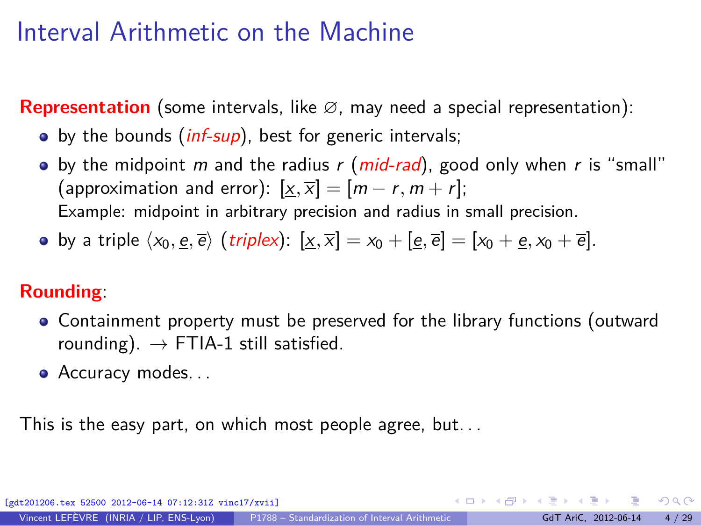## Interval Arithmetic on the Machine

**Representation** (some intervals, like ∅, may need a special representation):

- $\bullet$  by the bounds (*inf-sup*), best for generic intervals;
- by the midpoint m and the radius r (mid-rad), good only when r is "small" (approximation and error):  $[x,\overline{x}] = [m-r, m + r]$ ; Example: midpoint in arbitrary precision and radius in small precision.
- by a triple  $\langle x_0, \underline{e}, \overline{e} \rangle$  (*triplex*):  $[x, \overline{x}] = x_0 + [\underline{e}, \overline{e}] = [x_0 + \underline{e}, x_0 + \overline{e}].$

### **Rounding**:

- Containment property must be preserved for the library functions (outward rounding).  $\rightarrow$  FTIA-1 still satisfied.
- Accuracy modes...

This is the easy part, on which most people agree, but. . .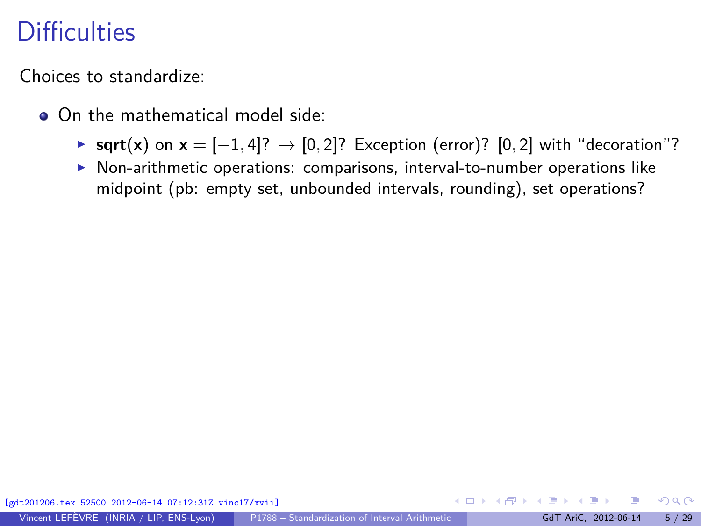Choices to standardize:

- On the mathematical model side:
	- ◮ **sqrt**(**x**) on **<sup>x</sup>** = [−1*,* <sup>4</sup>]? <sup>→</sup> [0*,* <sup>2</sup>]? Exception (error)? [0*,* <sup>2</sup>] with "decoration"?
	- ▶ Non-arithmetic operations: comparisons, interval-to-number operations like midpoint (pb: empty set, unbounded intervals, rounding), set operations?

 $\Omega$ 

イロト イ押 トイヨ トイヨト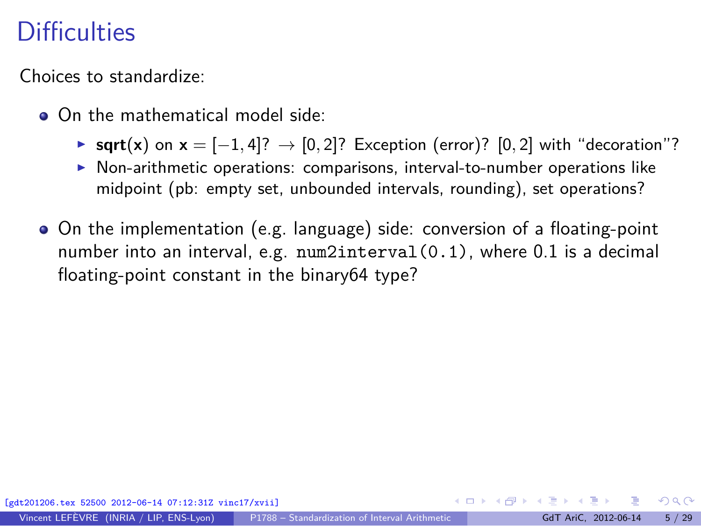Choices to standardize:

- On the mathematical model side:
	- ◮ **sqrt**(**x**) on **<sup>x</sup>** = [−1*,* <sup>4</sup>]? <sup>→</sup> [0*,* <sup>2</sup>]? Exception (error)? [0*,* <sup>2</sup>] with "decoration"?
	- ▶ Non-arithmetic operations: comparisons, interval-to-number operations like midpoint (pb: empty set, unbounded intervals, rounding), set operations?
- On the implementation (e.g. language) side: conversion of a floating-point number into an interval, e.g. num2interval(0.1), where 0.1 is a decimal floating-point constant in the binary64 type?

 $\Omega$ 

イロト イ押 トイヨ トイヨト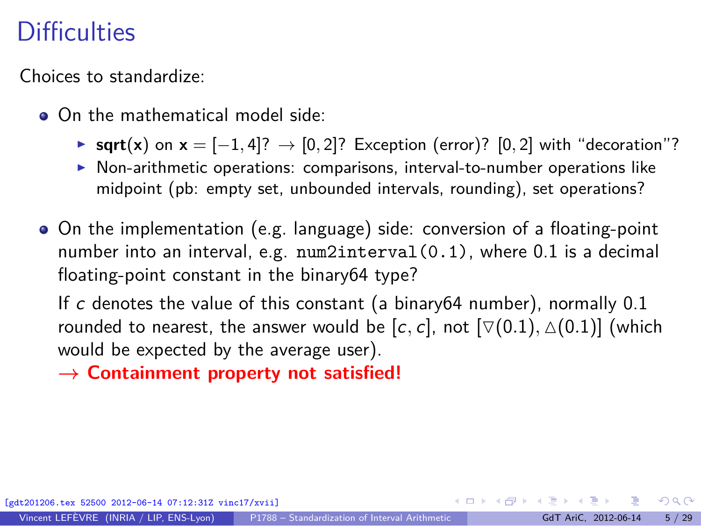Choices to standardize:

- On the mathematical model side:
	- **► sqrt**(**x**) on  $x = [-1, 4]$ ? → [0, 2]? Exception (error)? [0, 2] with "decoration"?
	- ▶ Non-arithmetic operations: comparisons, interval-to-number operations like midpoint (pb: empty set, unbounded intervals, rounding), set operations?
- On the implementation (e.g. language) side: conversion of a floating-point number into an interval, e.g. num2interval(0.1), where 0.1 is a decimal floating-point constant in the binary64 type?

If c denotes the value of this constant (a binary64 number), normally 0.1 rounded to nearest, the answer would be  $[c, c]$ , not  $[\nabla(0.1), \Delta(0.1)]$  (which would be expected by the average user).

**→ Containment property not satisfied!**

[gdt201206.tex 52500 2012-06-14 07:12:31Z vinc17/xvii]

 $\Omega$ 

K ロ ⊁ K 御 ⊁ K 君 ⊁ K 君 ⊁ …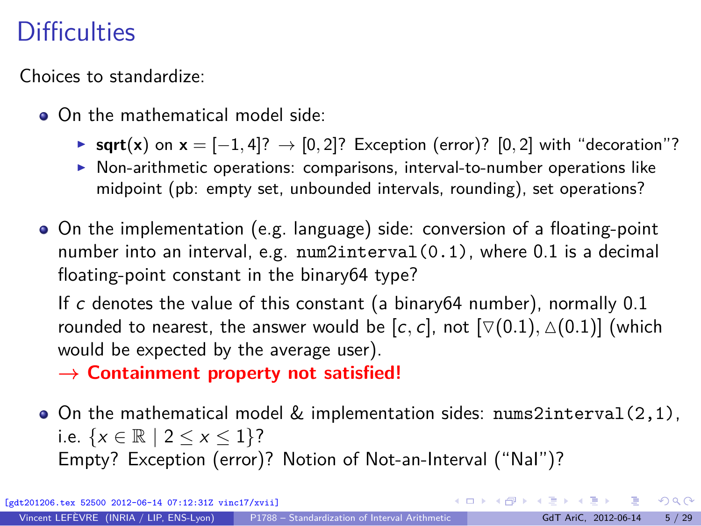Choices to standardize:

- On the mathematical model side:
	- **► sqrt**(**x**) on  $x = [-1, 4]$ ? → [0, 2]? Exception (error)? [0, 2] with "decoration"?
	- ▶ Non-arithmetic operations: comparisons, interval-to-number operations like midpoint (pb: empty set, unbounded intervals, rounding), set operations?
- On the implementation (e.g. language) side: conversion of a floating-point number into an interval, e.g. num2interval(0.1), where 0.1 is a decimal floating-point constant in the binary64 type?

If c denotes the value of this constant (a binary64 number), normally 0.1 rounded to nearest, the answer would be  $[c, c]$ , not  $[\nabla(0.1), \Delta(0.1)]$  (which would be expected by the average user).

**→ Containment property not satisfied!**

 $\bullet$  On the mathematical model & implementation sides: nums2interval(2,1), i.e.  $\{x \in \mathbb{R} \mid 2 \le x \le 1\}$ ? Empty? Exception (error)? Notion of Not-an-Interval ("NaI")?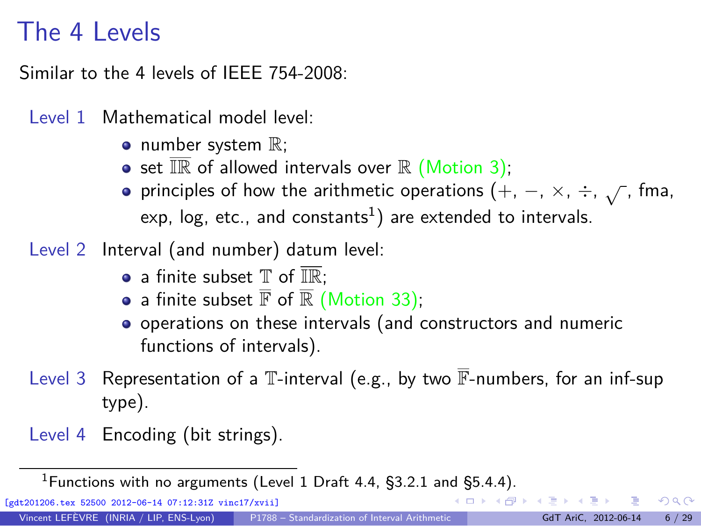# The 4 Levels

Similar to the 4 levels of IFFF 754-2008:

Level 1 Mathematical model level:

- $\bullet$  number system  $\mathbb{R}$ ;
- set  $\overline{\mathbb{R}}$  of allowed intervals over  $\mathbb R$  (Motion 3);
- principles of how the arithmetic operations  $(+, -, \times, \div, \sqrt{)}$ , fma, exp, log, etc., and constants $^{1})$  are extended to intervals.
- Level 2 Interval (and number) datum level:
	- a finite subset  $\mathbb T$  of  $\overline{\mathbb R}$ :
	- a finite subset  $\overline{\mathbb{F}}$  of  $\overline{\mathbb{R}}$  (Motion 33);
	- operations on these intervals (and constructors and numeric functions of intervals).
- Level 3 Representation of a  $\mathbb T$ -interval (e.g., by two  $\overline{\mathbb F}$ -numbers, for an inf-sup type).
- Level 4 Encoding (bit strings).

<sup>1</sup> Functions with no arguments (Level 1 Draft 4.4,  $\S$ 3.2.1 and  $\S$ 5.4.4).  $(1)$   $(1)$   $(1)$   $(1)$   $(1)$   $(1)$   $(1)$   $(1)$   $(1)$   $(1)$   $(1)$   $(1)$   $(1)$   $(1)$   $(1)$   $(1)$   $(1)$   $(1)$   $(1)$   $(1)$   $(1)$   $(1)$   $(1)$   $(1)$   $(1)$   $(1)$   $(1)$   $(1)$   $(1)$   $(1)$   $(1)$   $(1)$   $(1)$   $(1)$   $(1)$   $(1)$   $(1)$ 

[gdt201206.tex 52500 2012-06-14 07:12:31Z vinc17/xvii]

<span id="page-13-0"></span> $\Omega$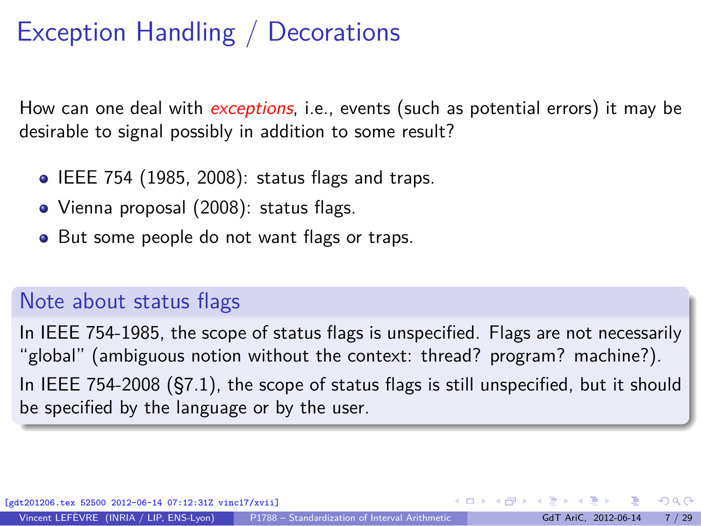# Exception Handling / Decorations

How can one deal with *exceptions*, i.e., events (such as potential errors) it may be desirable to signal possibly in addition to some result?

- $\bullet$  IEEE 754 (1985, 2008): status flags and traps.
- Vienna proposal (2008): status flags.
- But some people do not want flags or traps.

### Note about status flags

<span id="page-14-0"></span>In IEEE 754-1985, the scope of status flags is unspecified. Flags are not necessarily "global" (ambiguous notion without the context: thread? program? machine?). In IEEE 754-2008 (§7.1), the scope of status flags is still unspecified, but it should be specified by the language or by the user.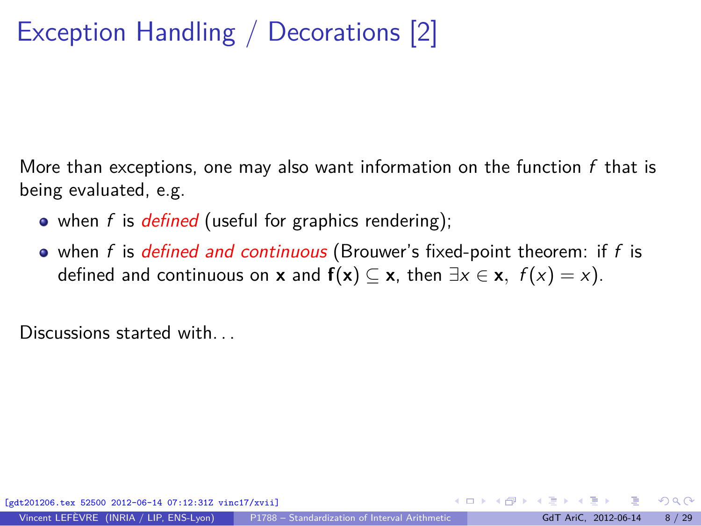# Exception Handling / Decorations [2]

More than exceptions, one may also want information on the function  $f$  that is being evaluated, e.g.

- when f is *defined* (useful for graphics rendering);
- $\bullet$  when f is defined and continuous (Brouwer's fixed-point theorem: if f is defined and continuous on **x** and  $f(x) \subseteq x$ , then  $\exists x \in x$ ,  $f(x) = x$ ).

Discussions started with.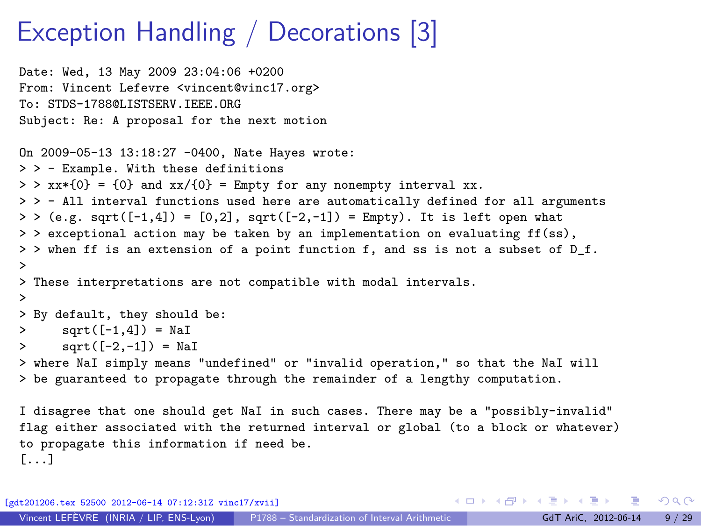## Exception Handling / Decorations [3]

```
Date: Wed, 13 May 2009 23:04:06 +0200
From: Vincent Lefevre <vincent@vinc17.org>
To: STDS-1788@LISTSERV.IEEE.ORG
Subject: Re: A proposal for the next motion
On 2009-05-13 13:18:27 -0400, Nate Hayes wrote:
> > - Example. With these definitions
> > xx*(0) = {0} and xx/(0) = Empty for any nonempty interval xx.
> > - All interval functions used here are automatically defined for all arguments
> > (e.g. sqrt([-1,4]) = [0,2], sqrt([-2,-1]) = Empty). It is left open what
> > exceptional action may be taken by an implementation on evaluating \mathbf{ff}(\mathbf{ss}).
> > when ff is an extension of a point function f, and ss is not a subset of D_f.
>
> These interpretations are not compatible with modal intervals.
>
> By default, they should be:
> sqrt([-1, 4]) = \mathbb{N}aI
> sqrt([-2,-1]) = NaI
> where NaI simply means "undefined" or "invalid operation," so that the NaI will
> be guaranteed to propagate through the remainder of a lengthy computation.
I disagree that one should get NaI in such cases. There may be a "possibly-invalid"
flag either associated with the returned interval or global (to a block or whatever)
to propagate this information if need be.
```
[gdt201206.tex 52500 2012-06-14 07:12:31Z vinc17/xvii]

[...]

Vincent LEFÈVRE (INRIA / LIP, ENS-Lyon) [P1788 – Standardization of Interval Arithmetic](#page-0-0) GdT AriC, 2012-06-14 9 / 29

 $\Omega$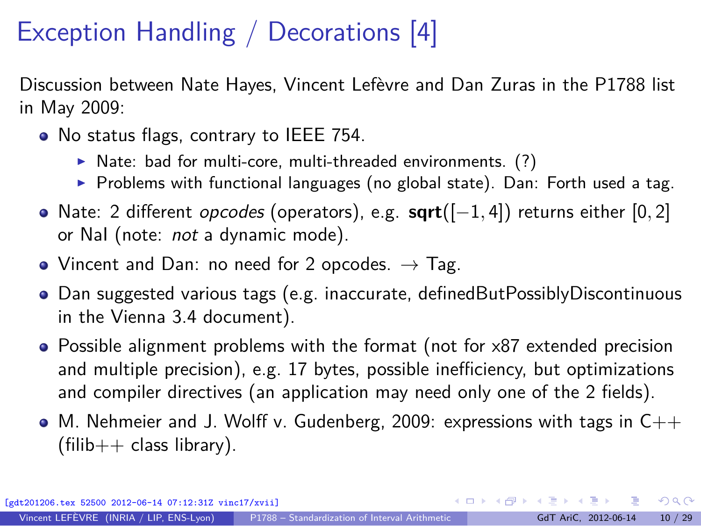# Exception Handling / Decorations [4]

Discussion between Nate Hayes, Vincent Lefèvre and Dan Zuras in the P1788 list in May 2009:

- No status flags, contrary to IEEE 754.
	- $\triangleright$  Nate: bad for multi-core, multi-threaded environments. (?)
	- $\triangleright$  Problems with functional languages (no global state). Dan: Forth used a tag.
- Nate: 2 different opcodes (operators), e.g. **sqrt**([−1*,* 4]) returns either [0*,* 2] or Nal (note: not a dynamic mode).
- Vincent and Dan: no need for 2 opcodes.  $\rightarrow$  Tag.
- Dan suggested various tags (e.g. inaccurate, definedButPossiblyDiscontinuous in the Vienna 3.4 document).
- Possible alignment problems with the format (not for x87 extended precision and multiple precision), e.g. 17 bytes, possible inefficiency, but optimizations and compiler directives (an application may need only one of the 2 fields).
- $\bullet$  M. Nehmeier and J. Wolff v. Gudenberg, 2009: expressions with tags in  $C++$  $(filib++$  class library).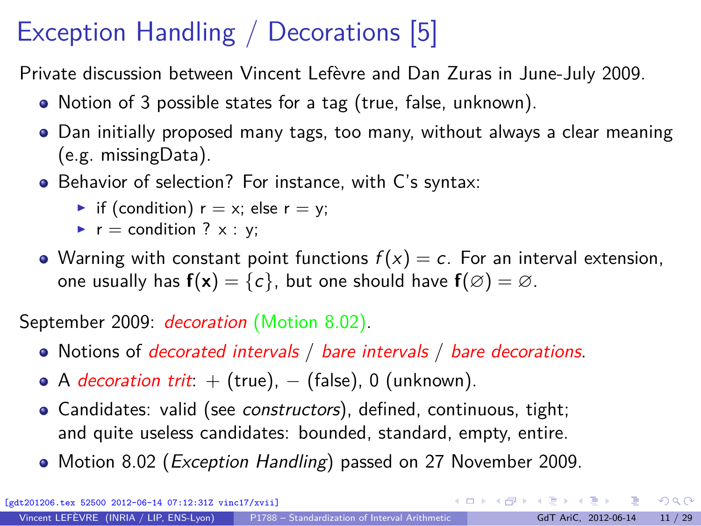# Exception Handling / Decorations [5]

Private discussion between Vincent Lefèvre and Dan Zuras in June-July 2009.

- Notion of 3 possible states for a tag (true, false, unknown).
- Dan initially proposed many tags, too many, without always a clear meaning (e.g. missingData).
- Behavior of selection? For instance, with C's syntax:
	- if (condition)  $r = x$ ; else  $r = y$ ;
	- $\blacktriangleright$  r = condition ? x : y;
- Warning with constant point functions  $f(x) = c$ . For an interval extension, one usually has  $f(x) = \{c\}$ , but one should have  $f(\emptyset) = \emptyset$ .

September 2009: *decoration* (Motion 8.02).

- Notions of *decorated intervals / bare intervals / bare decorations*.
- $\bullet$  A *decoration trit*:  $+$  (true),  $-$  (false), 0 (unknown).
- Candidates: valid (see [constructors](#page-41-1)), defined, continuous, tight; and quite useless candidates: bounded, standard, empty, entire.
- Motion 8.02 (*Exception Handling*) passed on 27 November 2009.

 $QQ$ 

K ロ ▶ K 個 ▶ K 경 ▶ K 경 ▶ X / 경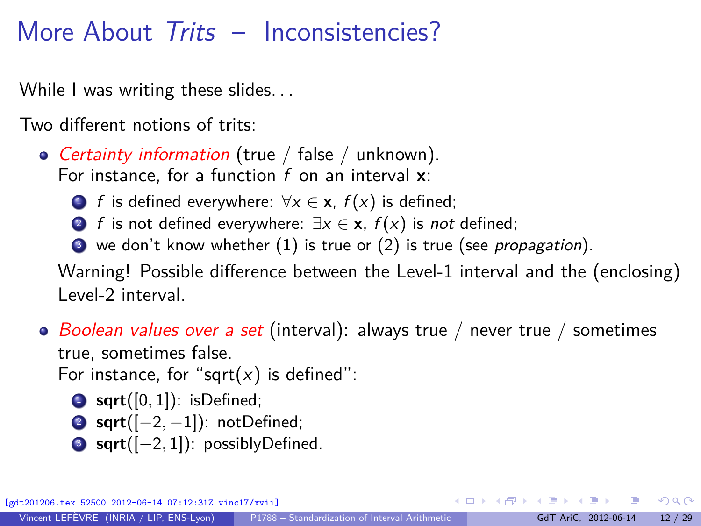# More About Trits - Inconsistencies?

While I was writing these slides...

Two different notions of trits:

• Certainty information (true / false / unknown). For instance, for a function f on an interval **x**:

- **1** f is defined everywhere:  $\forall x \in \mathbf{x}$ ,  $f(x)$  is defined;
- 2 f is not defined everywhere:  $\exists x \in \mathbf{x}, f(x)$  is not defined;
- $\bullet$  we don't know whether (1) is true or (2) is true (see [propagation](#page-22-0)).

Warning! Possible difference between the Level-1 interval and the (enclosing) Level-2 interval.

• Boolean values over a set (interval): always true / never true / sometimes true, sometimes false.

For instance, for "sqrt $(x)$  is defined":

- $\bullet$  sqrt $([0, 1])$ : isDefined;
- <sup>2</sup> **sqrt**([−2*,* <sup>−</sup>1]): notDefined;
- <sup>3</sup> **sqrt**([−2*,* <sup>1</sup>]): possiblyDefined.

 $QQ$ 

イロト イ何 ト イヨ ト イヨ トー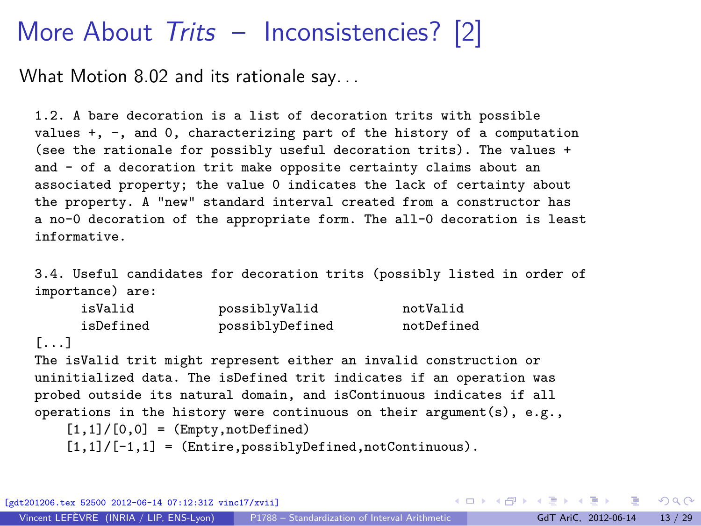## More About Trits – Inconsistencies? [2]

What Motion 8.02 and its rationale say. . .

1.2. A bare decoration is a list of decoration trits with possible values +, -, and 0, characterizing part of the history of a computation (see the rationale for possibly useful decoration trits). The values + and - of a decoration trit make opposite certainty claims about an associated property; the value 0 indicates the lack of certainty about the property. A "new" standard interval created from a constructor has a no-0 decoration of the appropriate form. The all-0 decoration is least informative.

3.4. Useful candidates for decoration trits (possibly listed in order of importance) are:

| isValid   | possiblyValid   | notValid   |
|-----------|-----------------|------------|
| isDefined | possiblyDefined | notDefined |

[...]

The isValid trit might represent either an invalid construction or uninitialized data. The isDefined trit indicates if an operation was probed outside its natural domain, and isContinuous indicates if all operations in the history were continuous on their argument(s), e.g.,

 $[1,1]/[0,0] = (Empty, notDefined)$  $[1,1]/[-1,1] = (Entire, possiblyDefined, notContinuous).$ 

[gdt201206.tex 52500 2012-06-14 07:12:31Z vinc17/xvii]

 $QQ$ 

 $\left\{ \begin{array}{ccc} 1 & 0 & 0 \\ 0 & 1 & 0 \end{array} \right.$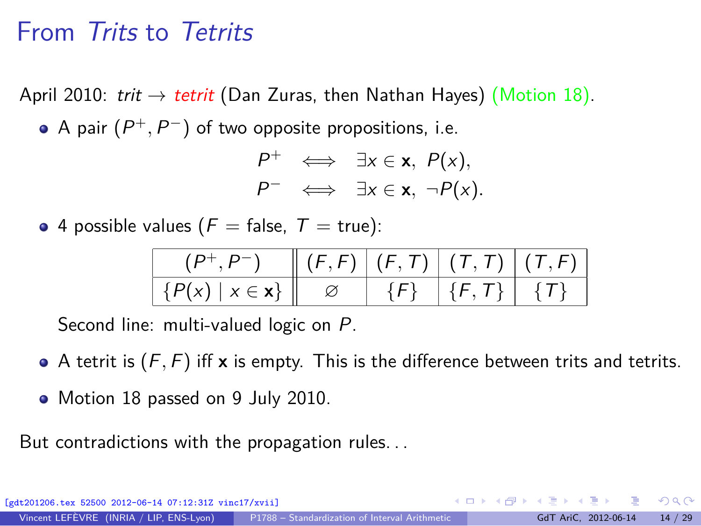## From Trits to Tetrits

April 2010: trit  $\rightarrow$  tetrit (Dan Zuras, then Nathan Hayes) (Motion 18). A pair  $(P^+, P^-)$  of two opposite propositions, i.e.

$$
P^+ \iff \exists x \in \mathbf{x}, P(x),
$$
  

$$
P^- \iff \exists x \in \mathbf{x}, \neg P(x).
$$

• 4 possible values ( $F =$  false,  $T =$  true):

|                      |  | $\parallel (F, F) \parallel (F, T) \parallel (T, T) \parallel (T, F)$ |  |
|----------------------|--|-----------------------------------------------------------------------|--|
| $\{P(x)   x \in x\}$ |  | $1\{F, T\}$ $\{T\}$                                                   |  |

Second line: multi-valued logic on P.

- A tetrit is  $(F, F)$  iff **x** is empty. This is the difference between trits and tetrits.
- Motion 18 passed on 9 July 2010.

But contradictions with the propagation rules. . .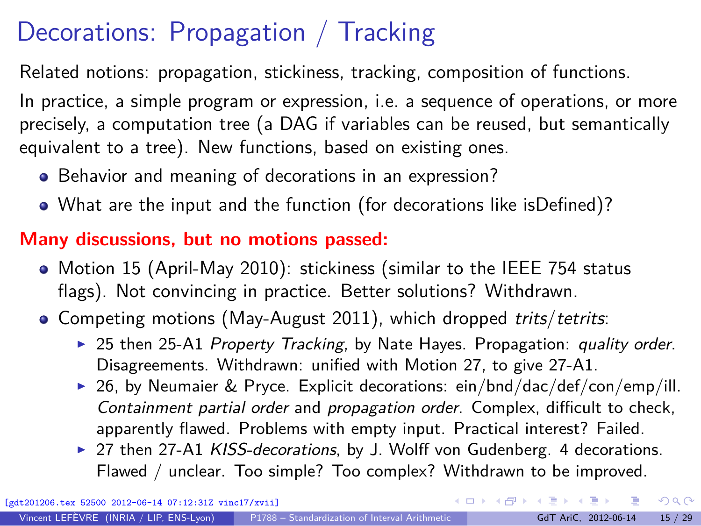# Decorations: Propagation / Tracking

<span id="page-22-0"></span>Related notions: propagation, stickiness, tracking, composition of functions.

In practice, a simple program or expression, i.e. a sequence of operations, or more precisely, a computation tree (a DAG if variables can be reused, but semantically equivalent to a tree). New functions, based on existing ones.

- Behavior and meaning of decorations in an expression?
- What are the input and the function (for decorations like isDefined)?

### **Many discussions, but no motions passed:**

- Motion 15 (April-May 2010): stickiness (similar to the IEEE 754 status flags). Not convincing in practice. Better solutions? Withdrawn.
- Competing motions (May-August 2011), which dropped trits/tetrits:
	- ► 25 then 25-A1 Property Tracking, by Nate Hayes. Propagation: quality order. Disagreements. Withdrawn: unified with Motion 27, to give 27-A1.
	- ▶ 26, by Neumaier & Pryce. Explicit decorations: ein/bnd/dac/def/con/emp/ill. Containment partial order and propagation order. Complex, difficult to check, apparently flawed. Problems with empty input. Practical interest? Failed.
	- ▶ 27 then 27-A1 KISS-decorations, by J. Wolff von Gudenberg. 4 decorations. Flawed / unclear. Too simple? Too complex? Withdrawn to be improved.

 $QQ$ 

 $\left\{ \begin{array}{ccc} 1 & 0 & 0 \\ 0 & 1 & 0 \end{array} \right.$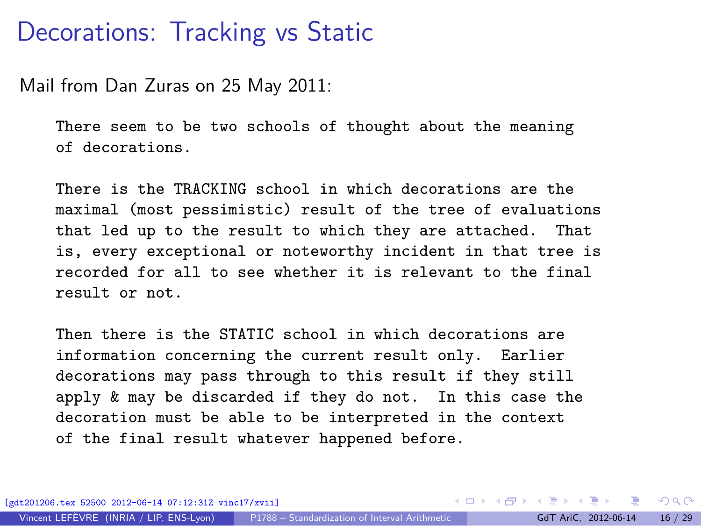### Decorations: Tracking vs Static

Mail from Dan Zuras on 25 May 2011:

There seem to be two schools of thought about the meaning of decorations.

There is the TRACKING school in which decorations are the maximal (most pessimistic) result of the tree of evaluations that led up to the result to which they are attached. That is, every exceptional or noteworthy incident in that tree is recorded for all to see whether it is relevant to the final result or not.

Then there is the STATIC school in which decorations are information concerning the current result only. Earlier decorations may pass through to this result if they still apply & may be discarded if they do not. In this case the decoration must be able to be interpreted in the context of the final result whatever happened before.

 $QQ$ 

イロト イ押 トイヨ トイヨト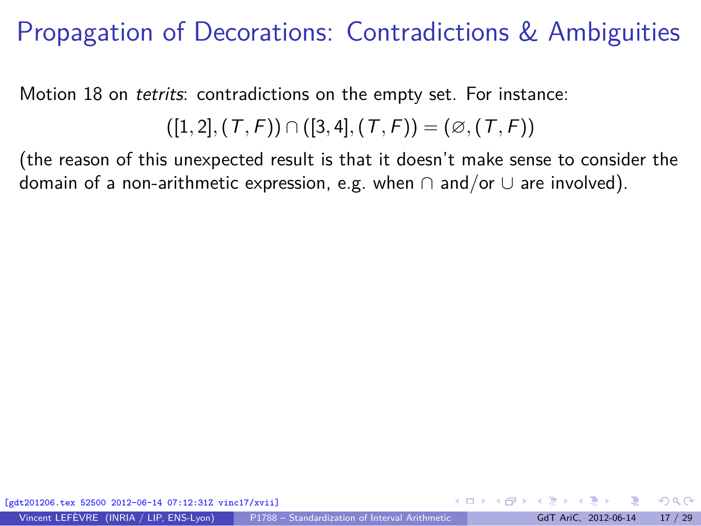# Propagation of Decorations: Contradictions & Ambiguities

Motion 18 on tetrits: contradictions on the empty set. For instance:

$$
([1,2], (T, F)) \cap ([3,4], (T, F)) = (\emptyset, (T, F))
$$

(the reason of this unexpected result is that it doesn't make sense to consider the domain of a non-arithmetic expression, e.g. when  $\cap$  and/or  $\cup$  are involved).

 $\Omega$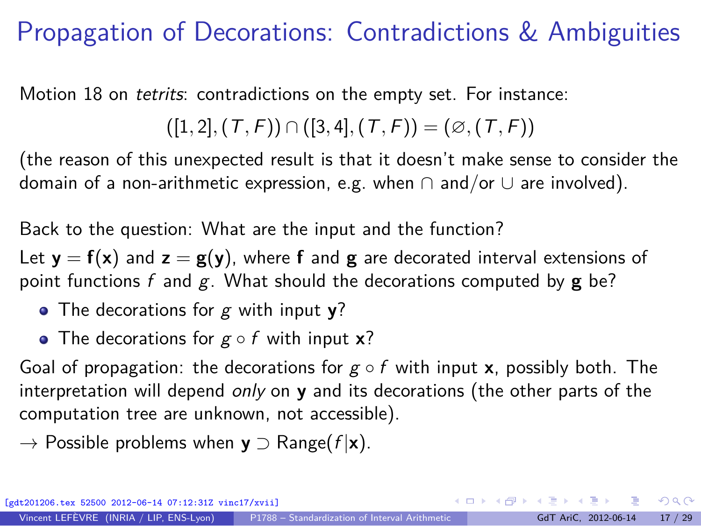# Propagation of Decorations: Contradictions & Ambiguities

Motion 18 on tetrits: contradictions on the empty set. For instance:

([1*,* <sup>2</sup>]*,*(T*,* <sup>F</sup>)) <sup>∩</sup> ([3*,* <sup>4</sup>]*,*(T*,* <sup>F</sup>)) = (∅*,*(T*,* <sup>F</sup>))

(the reason of this unexpected result is that it doesn't make sense to consider the domain of a non-arithmetic expression, e.g. when  $\cap$  and/or  $\cup$  are involved).

Back to the question: What are the input and the function?

Let  $y = f(x)$  and  $z = g(y)$ , where f and g are decorated interval extensions of point functions f and g. What should the decorations computed by **g** be?

The decorations for g with input **y**?

The decorations for g ◦ f with input **x**?

Goal of propagation: the decorations for  $g \circ f$  with input **x**, possibly both. The interpretation will depend only on **y** and its decorations (the other parts of the computation tree are unknown, not accessible).

→ Possible problems when **y** ⊃ Range(f |**x**).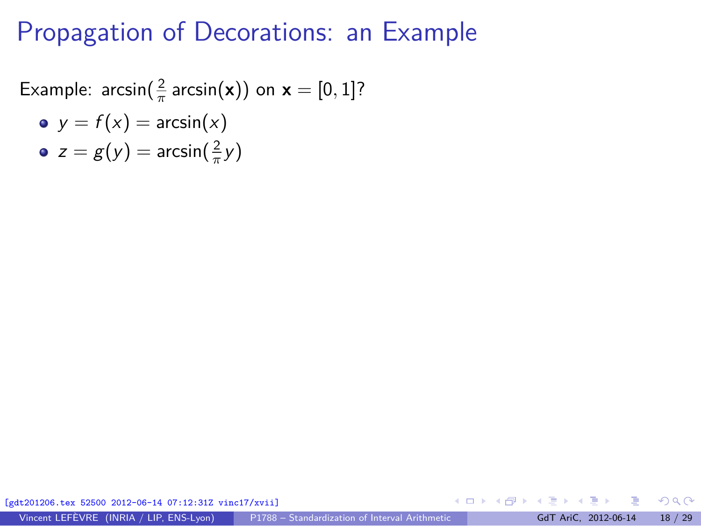Example:  $\arcsin(\frac{2}{\pi} \arcsin(\mathbf{x}))$  on  $\mathbf{x} = [0, 1]$ ?

\n- • 
$$
y = f(x) = \arcsin(x)
$$
\n- •  $z = g(y) = \arcsin\left(\frac{2}{\pi}y\right)$
\n

[gdt201206.tex 52500 2012-06-14 07:12:31Z vinc17/xvii]

 $\Omega$ 

**≮ロト ⊀ 何 ト ィヨ**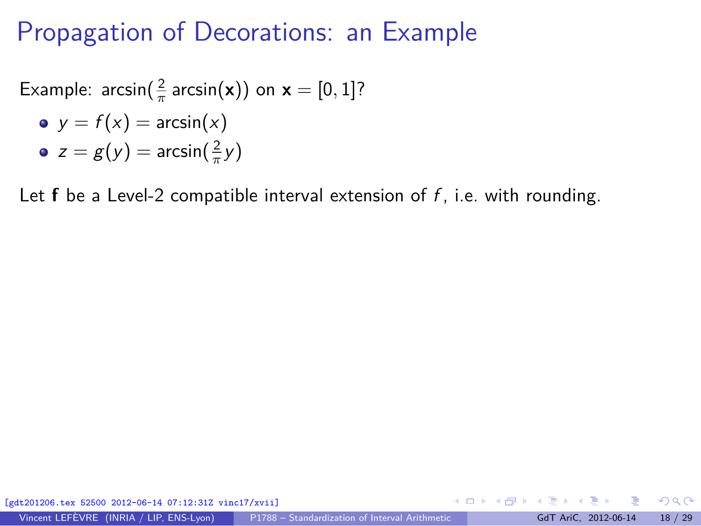Example:  $\arcsin(\frac{2}{\pi} \arcsin(\mathbf{x}))$  on  $\mathbf{x} = [0, 1]$ ?

\n- • 
$$
y = f(x) = \arcsin(x)
$$
\n- •  $z = g(y) = \arcsin\left(\frac{2}{\pi}y\right)$
\n

Let  $f$  be a Level-2 compatible interval extension of  $f$ , i.e. with rounding.

[gdt201206.tex 52500 2012-06-14 07:12:31Z vinc17/xvii]

Vincent LEFÈVRE (INRIA / LIP, ENS-Lyon) [P1788 – Standardization of Interval Arithmetic](#page-0-0) GdT AriC, 2012-06-14 18 / 29

 $\Omega$ 

**≮ロト ⊀ 何 ト ィヨ**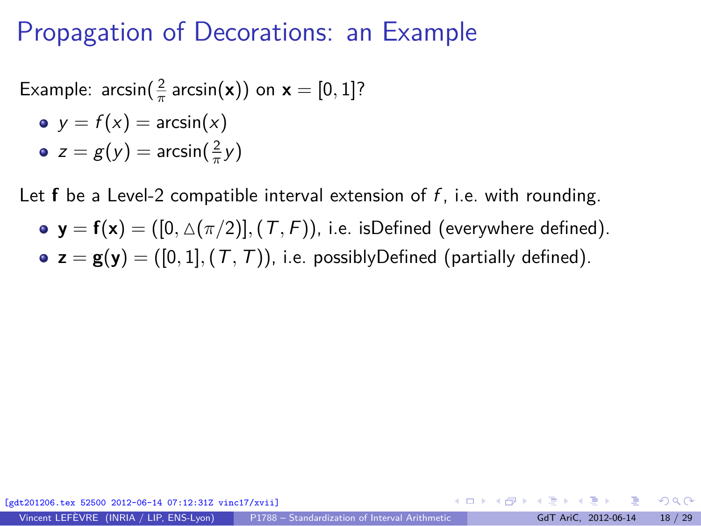Example:  $\arcsin(\frac{2}{\pi} \arcsin(\mathbf{x}))$  on  $\mathbf{x} = [0, 1]$ ?

\n- • 
$$
y = f(x) = \arcsin(x)
$$
\n- •  $z = g(y) = \arcsin\left(\frac{2}{\pi}y\right)$
\n

Let **f** be a Level-2 compatible interval extension of f, i.e. with rounding.

•  $y = f(x) = ([0, \triangle(\pi/2)], (T, F)$ , i.e. isDefined (everywhere defined). •  $z = g(y) = ([0, 1], (T, T))$ , i.e. possibly Defined (partially defined).

[gdt201206.tex 52500 2012-06-14 07:12:31Z vinc17/xvii] イロト イ押 トイヨ トイヨト  $\Omega$ Vincent LEFÈVRE (INRIA / LIP, ENS-Lyon) [P1788 – Standardization of Interval Arithmetic](#page-0-0) GdT AriC, 2012-06-14 18 / 29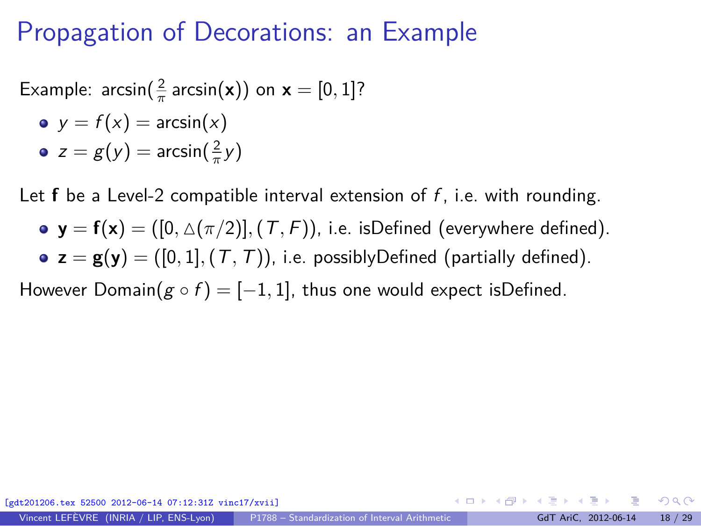Example:  $\arcsin(\frac{2}{\pi} \arcsin(\mathbf{x}))$  on  $\mathbf{x} = [0, 1]$ ?

\n- • 
$$
y = f(x) = \arcsin(x)
$$
\n- •  $z = g(y) = \arcsin\left(\frac{2}{\pi}y\right)$
\n

Let **f** be a Level-2 compatible interval extension of f, i.e. with rounding.

•  $\mathbf{y} = \mathbf{f}(\mathbf{x}) = ([0, \Delta(\pi/2)], (T, F))$ , i.e. isDefined (everywhere defined). •  $z = g(y) = ([0, 1], (T, T))$ , i.e. possiblyDefined (partially defined).

However Domain( $g \circ f$ ) = [-1, 1], thus one would expect isDefined.

[gdt201206.tex 52500 2012-06-14 07:12:31Z vinc17/xvii] イロト イ押 トイヨ トイヨト  $209$ Vincent LEFÈVRE (INRIA / LIP, ENS-Lyon) [P1788 – Standardization of Interval Arithmetic](#page-0-0) GdT AriC, 2012-06-14 18 / 29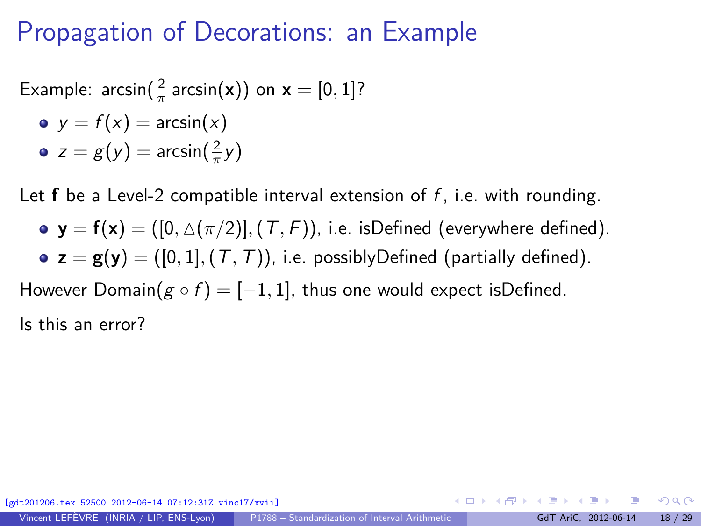Example:  $\arcsin(\frac{2}{\pi} \arcsin(\mathbf{x}))$  on  $\mathbf{x} = [0, 1]$ ?

\n- • 
$$
y = f(x) = \arcsin(x)
$$
\n- •  $z = g(y) = \arcsin\left(\frac{2}{\pi}y\right)$
\n

Let **f** be a Level-2 compatible interval extension of f, i.e. with rounding.

•  $y = f(x) = ([0, \triangle(\pi/2)], (T, F)$ , i.e. isDefined (everywhere defined). •  $z = g(y) = ([0, 1], (T, T))$ , i.e. possiblyDefined (partially defined).

However Domain( $g \circ f$ ) = [-1, 1], thus one would expect isDefined.

Is this an error?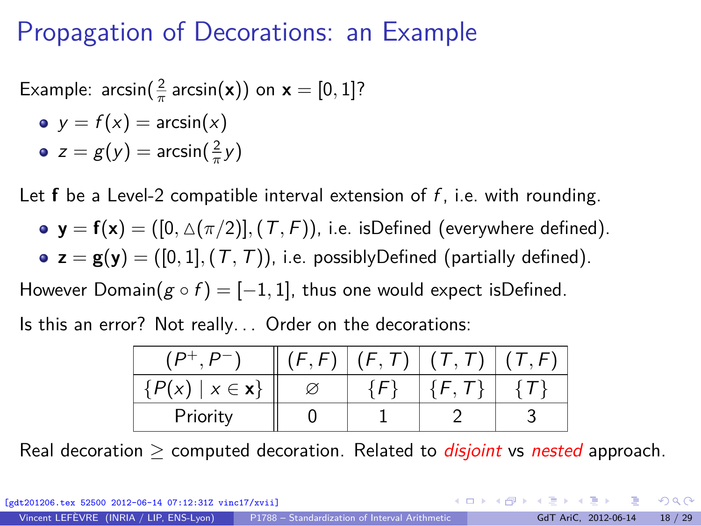Example:  $\arcsin(\frac{2}{\pi} \arcsin(\mathbf{x}))$  on  $\mathbf{x} = [0, 1]$ ?

\n- • 
$$
y = f(x) = \arcsin(x)
$$
\n- •  $z = g(y) = \arcsin\left(\frac{2}{\pi}y\right)$
\n

Let  $f$  be a Level-2 compatible interval extension of  $f$ , i.e. with rounding.

•  $y = f(x) = ([0, \triangle(\pi/2)], (T, F)$ , i.e. isDefined (everywhere defined). •  $z = g(y) = ([0, 1], (T, T))$ , i.e. possiblyDefined (partially defined).

However Domain( $g \circ f$ ) = [-1, 1], thus one would expect isDefined.

Is this an error? Not really. . . Order on the decorations:

|                                                   | F, T | (T, T) | (T, F) |
|---------------------------------------------------|------|--------|--------|
| $\langle P(x) \rangle$<br>$\{x \in \mathbf{x}\}\$ |      |        |        |
| Priority                                          |      |        |        |

Real decoration  $>$  computed decoration. Related to *disjoint* vs nested approach.

 $209$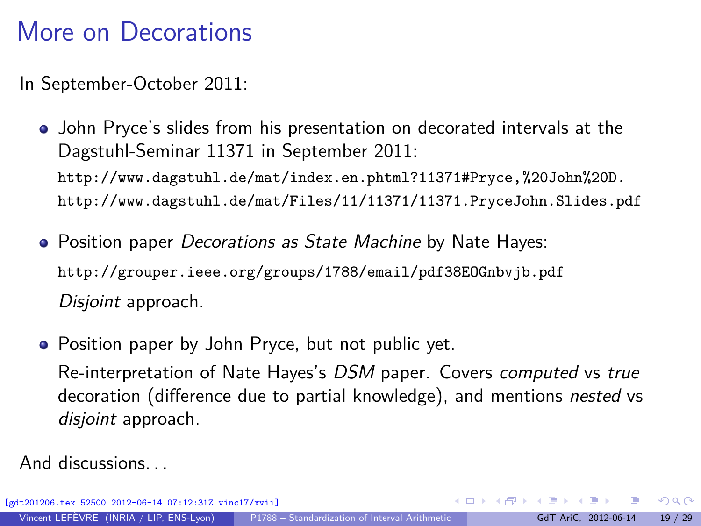# More on Decorations

In September-October 2011:

- John Pryce's slides from his presentation on decorated intervals at the Dagstuhl-Seminar 11371 in September 2011: <http://www.dagstuhl.de/mat/index.en.phtml?11371#Pryce,%20John%20D.> <http://www.dagstuhl.de/mat/Files/11/11371/11371.PryceJohn.Slides.pdf>
- Position paper *Decorations as State Machine* by Nate Hayes: <http://grouper.ieee.org/groups/1788/email/pdf38EOGnbvjb.pdf> Disjoint approach.
- Position paper by John Pryce, but not public yet.

Re-interpretation of Nate Hayes's DSM paper. Covers computed vs true decoration (difference due to partial knowledge), and mentions nested vs disjoint approach.

And discussions. . .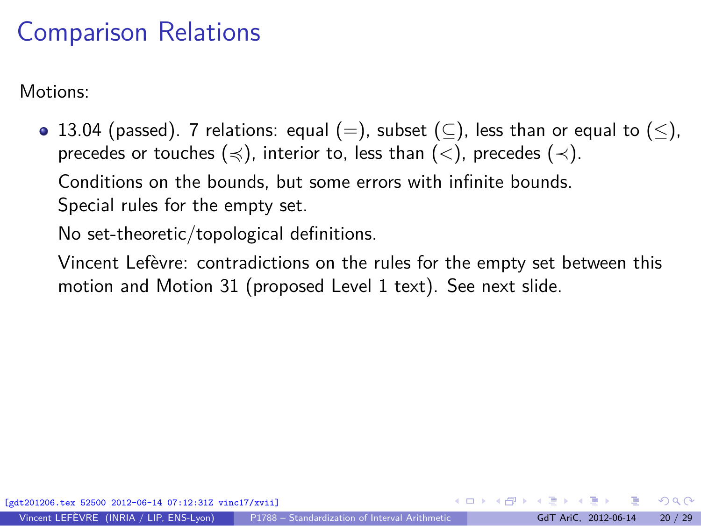## Comparison Relations

Motions:

• 13.04 (passed). 7 relations: equal (=), subset ( $\subseteq$ ), less than or equal to ( $\leq$ ), precedes or touches ( $\leq$ ), interior to, less than ( $\lt$ ), precedes ( $\lt$ ). Conditions on the bounds, but some errors with infinite bounds. Special rules for the empty set.

No set-theoretic/topological definitions.

Vincent Lefèvre: contradictions on the rules for the empty set between this motion and Motion 31 (proposed Level 1 text). See [next slide.](#page-36-0)

<span id="page-33-0"></span> $\Omega$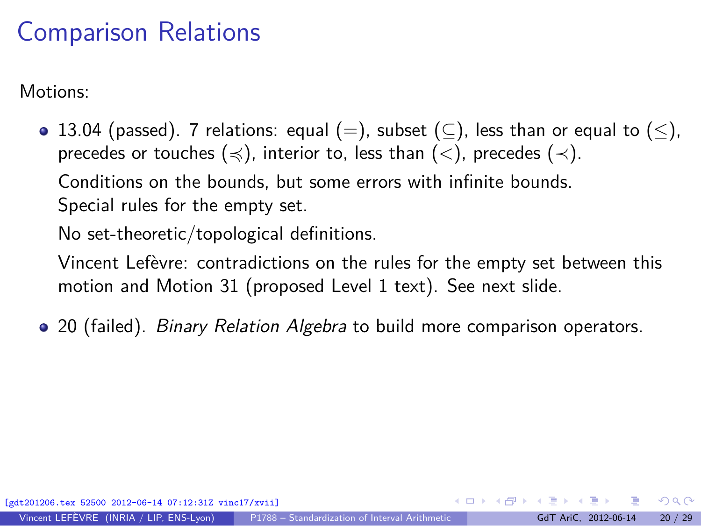## Comparison Relations

Motions:

• 13.04 (passed). 7 relations: equal (=), subset ( $\subseteq$ ), less than or equal to ( $\leq$ ), precedes or touches ( $\leq$ ), interior to, less than ( $\lt$ ), precedes ( $\lt$ ). Conditions on the bounds, but some errors with infinite bounds. Special rules for the empty set.

No set-theoretic/topological definitions.

Vincent Lefèvre: contradictions on the rules for the empty set between this motion and Motion 31 (proposed Level 1 text). See [next slide.](#page-36-0)

• 20 (failed). *Binary Relation Algebra* to build more comparison operators.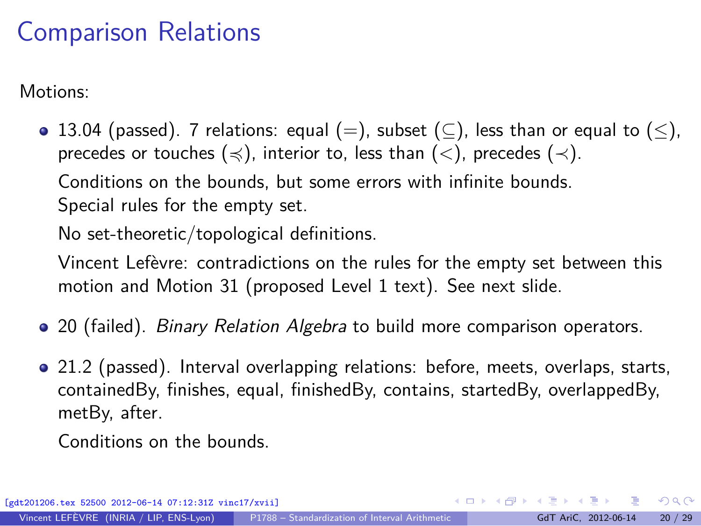# Comparison Relations

Motions:

• 13.04 (passed). 7 relations: equal (=), subset ( $\subseteq$ ), less than or equal to ( $\leq$ ), precedes or touches ( $\leq$ ), interior to, less than ( $\lt$ ), precedes ( $\lt$ ). Conditions on the bounds, but some errors with infinite bounds. Special rules for the empty set.

No set-theoretic/topological definitions.

Vincent Lefèvre: contradictions on the rules for the empty set between this motion and Motion 31 (proposed Level 1 text). See [next slide.](#page-36-0)

- 20 (failed). *Binary Relation Algebra* to build more comparison operators.
- 21.2 (passed). Interval overlapping relations: before, meets, overlaps, starts, containedBy, finishes, equal, finishedBy, contains, startedBy, overlappedBy, metBy, after.

Conditions on the bounds.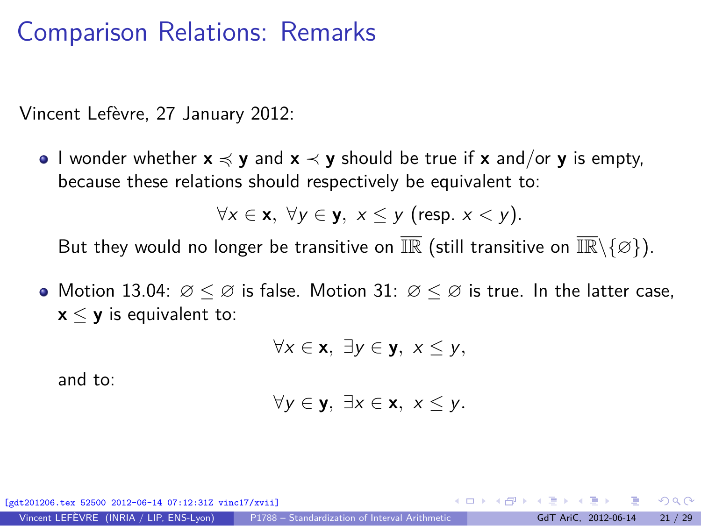### Comparison Relations: Remarks

<span id="page-36-0"></span>Vincent Lefèvre, 27 January 2012:

I wonder whether **x** 4 **y** and **x** ≺ **y** should be true if **x** and/or **y** is empty, because these relations should respectively be equivalent to:

$$
\forall x \in \mathbf{x}, \ \forall y \in \mathbf{y}, \ x \leq y \ \text{(resp. } x < y\text{)}.
$$

But they would no longer be transitive on  $\overline{\mathbb{IR}}$  (still transitive on  $\overline{\mathbb{IR}}\setminus\{\varnothing\}$ ).

• Motion 13.04:  $\varnothing \leq \varnothing$  is false. Motion 31:  $\varnothing \leq \varnothing$  is true. In the latter case,  $x \leq y$  is equivalent to:

$$
\forall x \in \mathbf{x}, \; \exists y \in \mathbf{y}, \; x \leq y,
$$

and to:

$$
\forall y \in \mathbf{y}, \; \exists x \in \mathbf{x}, \; x \leq y.
$$

[gdt201206.tex 52500 2012-06-14 07:12:31Z vinc17/xvii]

 $\Omega$ 

イロト イ押 トイヨ トイヨト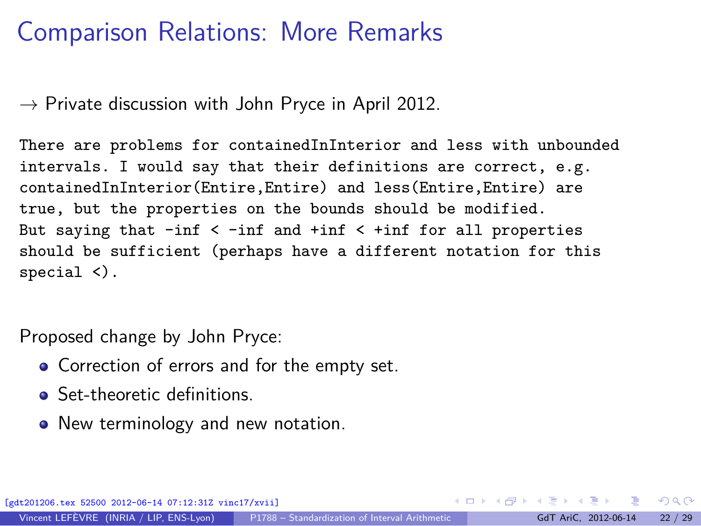## Comparison Relations: More Remarks

 $\rightarrow$  Private discussion with John Pryce in April 2012.

There are problems for containedInInterior and less with unbounded intervals. I would say that their definitions are correct, e.g. containedInInterior(Entire,Entire) and less(Entire,Entire) are true, but the properties on the bounds should be modified. But saying that  $-int < -inf$  and  $+inf < +inf$  for all properties should be sufficient (perhaps have a different notation for this special <).

Proposed change by John Pryce:

- Correction of errors and for the empty set.
- Set-theoretic definitions.
- New terminology and new notation.

 $\Omega$ 

 $\left\{ \begin{array}{ccc} 1 & 0 & 0 \\ 0 & 1 & 0 \end{array} \right.$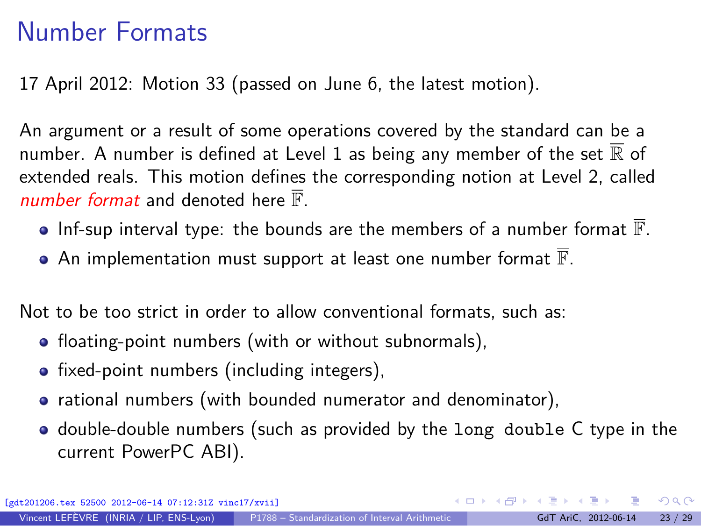# Number Formats

17 April 2012: Motion 33 (passed on June 6, the latest motion).

An argument or a result of some operations covered by the standard can be a number. A number is defined at Level 1 as being any member of the set  $\overline{\mathbb{R}}$  of extended reals. This motion defines the corresponding notion at Level 2, called number format and denoted here  $\overline{\mathbb{F}}$ .

- $\bullet$  Inf-sup interval type: the bounds are the members of a number format  $\mathbb{F}$ .
- $\bullet$  An implementation must support at least one number format  $\overline{\mathbb{F}}$ .

Not to be too strict in order to allow conventional formats, such as:

- floating-point numbers (with or without subnormals),
- fixed-point numbers (including integers),
- rational numbers (with bounded numerator and denominator),
- <span id="page-38-0"></span>• double-double numbers (such as provided by the long double C type in the current PowerPC ABI).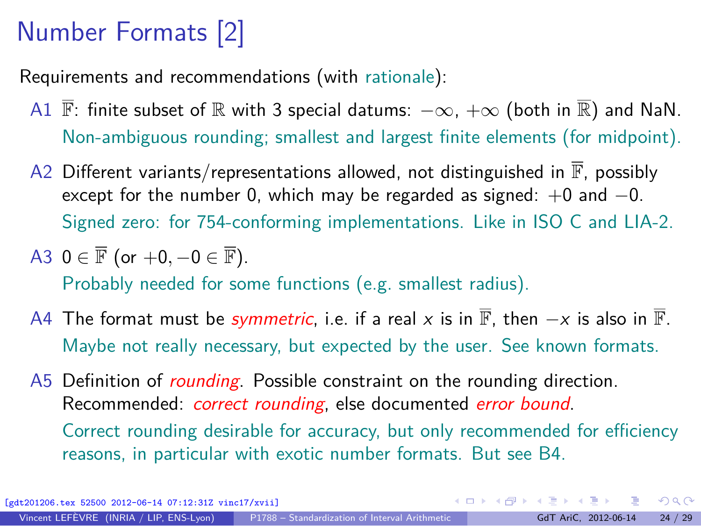# Number Formats [2]

Requirements and recommendations (with rationale):

- A1  $\overline{\mathbb{F}}$ : finite subset of R with 3 special datums:  $-\infty$ ,  $+\infty$  (both in R) and NaN. Non-ambiguous rounding; smallest and largest finite elements (for midpoint).
- A2 Different variants/representations allowed, not distinguished in  $\overline{\mathbb{F}}$ , possibly except for the number 0, which may be regarded as signed:  $+0$  and  $-0$ . Signed zero: for 754-conforming implementations. Like in ISO C and LIA-2.

A3 
$$
0 \in \overline{\mathbb{F}}
$$
 (or  $+0, -0 \in \overline{\mathbb{F}}$ ). \nProbability needed for some functions (e.g. smallest radius).

- A4 The format must be *symmetric*, i.e. if a real x is in  $\overline{\mathbb{F}}$ , then  $-x$  is also in  $\overline{\mathbb{F}}$ . Maybe not really necessary, but expected by the user. See known formats.
- A5 Definition of *rounding*. Possible constraint on the rounding direction. Recommended: *correct rounding*, else documented error bound. Correct rounding desirable for accuracy, but only recommended for efficiency reasons, in particular with exotic number formats. But see B4.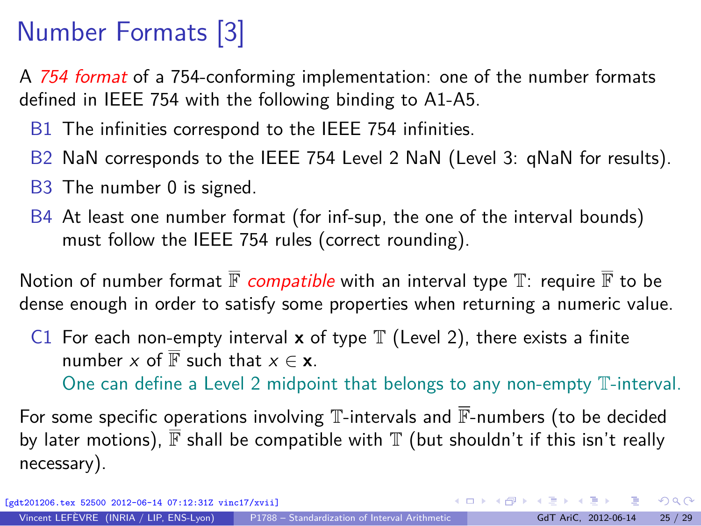# Number Formats [3]

A 754 format of a 754-conforming implementation: one of the number formats defined in IEEE 754 with the following binding to A1-A5.

- B1 The infinities correspond to the IEEE 754 infinities.
- B2 NaN corresponds to the IEEE 754 Level 2 NaN (Level 3: qNaN for results).
- B3 The number 0 is signed.
- B4 At least one number format (for inf-sup, the one of the interval bounds) must follow the IEEE 754 rules (correct rounding).

Notion of number format  $\overline{\mathbb{F}}$  compatible with an interval type  $\mathbb{T}$ : require  $\overline{\mathbb{F}}$  to be dense enough in order to satisfy some properties when returning a numeric value.

C1 For each non-empty interval **x** of type  $\mathbb T$  (Level 2), there exists a finite number x of  $\overline{\mathbb{F}}$  such that  $x \in \mathbf{x}$ .

One can define a Level 2 midpoint that belongs to any non-empty T-interval.

For some specific operations involving  $\mathbb T$ -intervals and  $\overline{\mathbb F}$ -numbers (to be decided by later motions),  $\overline{\mathbb{F}}$  shall be compatible with  $\mathbb{T}$  (but shouldn't if this isn't really necessary).

 $\Omega$ 

 $\mathbf{A} \equiv \mathbf{A} + \mathbf{A} \mathbf{B} + \mathbf{A} \equiv \mathbf{A} + \mathbf{A} \equiv \mathbf{A}$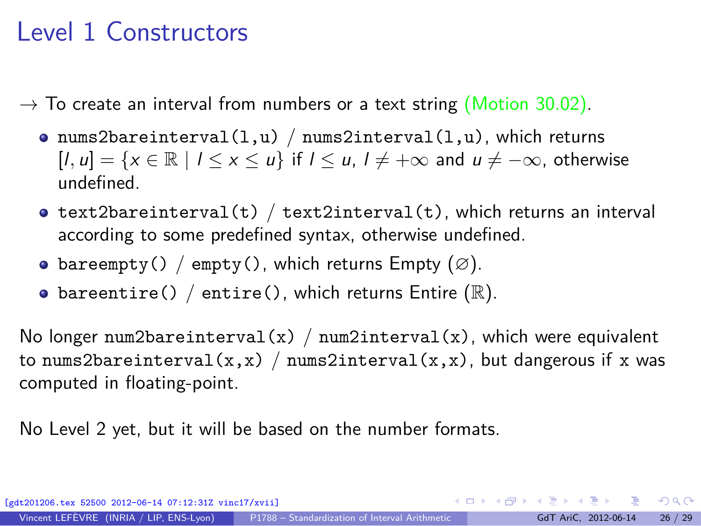# Level 1 Constructors

<span id="page-41-1"></span> $\rightarrow$  To create an interval from numbers or a text string (Motion 30.02).

- o nums2bareinterval $(1, u)$  / nums2interval $(1, u)$ , which returns  $[l, u] = \{x \in \mathbb{R} \mid l \le x \le u\}$  if  $l \le u$ ,  $l \ne +\infty$  and  $u \ne -\infty$ , otherwise undefined.
- $\bullet$  text2bareinterval(t) / text2interval(t), which returns an interval according to some predefined syntax, otherwise undefined.
- bareempty() / empty(), which returns Empty  $(\emptyset)$ .
- bareentire() / entire(), which returns Entire  $(\mathbb{R})$ .

No longer num2bareinterval(x) / num2interval(x), which were equivalent to nums2bareinterval(x,x) / nums2interval(x,x), but dangerous if x was computed in floating-point.

<span id="page-41-0"></span>No Level 2 yet, but it will be based on the number formats.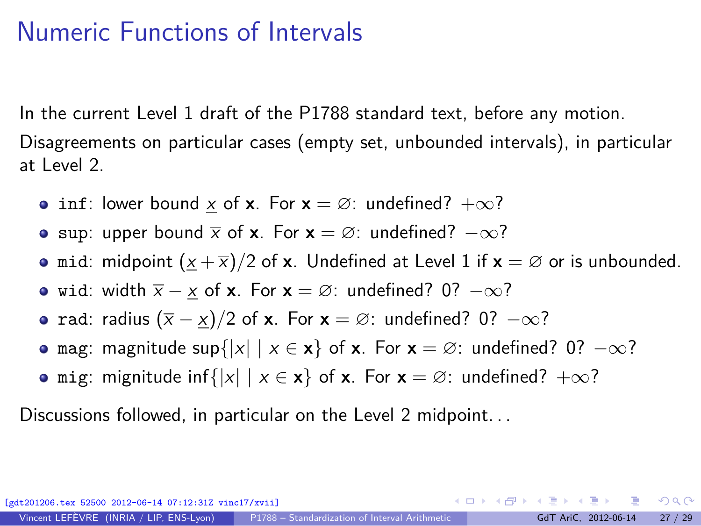# Numeric Functions of Intervals

In the current Level 1 draft of the P1788 standard text, before any motion.

Disagreements on particular cases (empty set, unbounded intervals), in particular at Level 2.

- inf: lower bound  $\underline{x}$  of **x**. For **x** = ∅: undefined?  $+\infty$ ?
- **•** sup: upper bound  $\bar{x}$  of **x**. For **x** =  $\varnothing$ : undefined?  $-\infty$ ?
- mid: midpoint  $(\underline{x} + \overline{x})/2$  of **x**. Undefined at Level 1 if **x** =  $\emptyset$  or is unbounded.
- wid: width  $\bar{x} x$  of **x**. For **x** = ∅: undefined? 0?  $-\infty$ ?
- rad: radius  $(\bar{x} x)/2$  of **x**. For **x** = ∅: undefined? 0?  $-\infty$ ?
- **o** mag: magnitude sup $\{|x| \mid x \in \mathbf{x}\}$  of **x**. For  $\mathbf{x} = \emptyset$ : undefined? 0?  $-\infty$ ?
- **o** mig: mignitude inf{ $|x| | x \in \mathbf{x}$  of **x**. For  $\mathbf{x} = \emptyset$ : undefined?  $+\infty$ ?

Discussions followed, in particular on the Level 2 midpoint. . .

[gdt201206.tex 52500 2012-06-14 07:12:31Z vinc17/xvii]

<span id="page-42-0"></span> $QQ$ 

 $A \equiv \mathbf{1} + \mathbf{1} + \mathbf{1} + \mathbf{1} + \mathbf{1} + \mathbf{1} + \mathbf{1} + \mathbf{1} + \mathbf{1} + \mathbf{1} + \mathbf{1} + \mathbf{1} + \mathbf{1} + \mathbf{1} + \mathbf{1} + \mathbf{1} + \mathbf{1} + \mathbf{1} + \mathbf{1} + \mathbf{1} + \mathbf{1} + \mathbf{1} + \mathbf{1} + \mathbf{1} + \mathbf{1} + \mathbf{1} + \mathbf{1} + \mathbf{1} + \mathbf{1} + \mathbf{1} + \mathbf{1} +$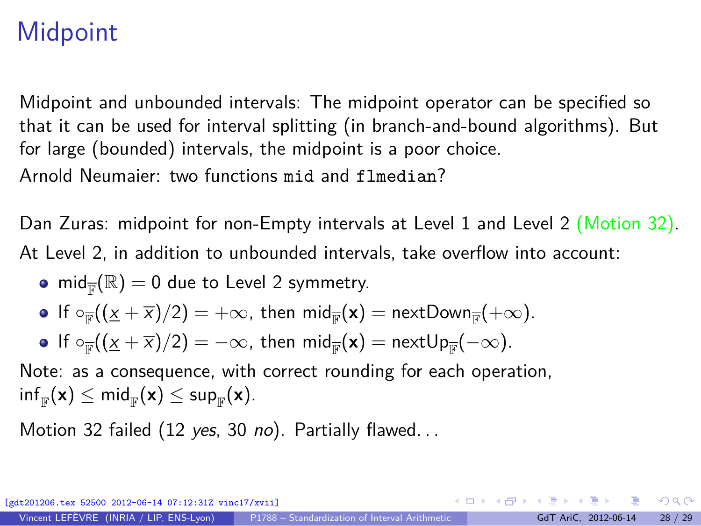# **Midpoint**

Midpoint and unbounded intervals: The midpoint operator can be specified so that it can be used for interval splitting (in branch-and-bound algorithms). But for large (bounded) intervals, the midpoint is a poor choice. Arnold Neumaier: two functions mid and flmedian?

Dan Zuras: midpoint for non-Empty intervals at Level 1 and Level 2 (Motion 32). At Level 2, in addition to unbounded intervals, take overflow into account:

- $\text{mid}_{\mathbb{F}}(\mathbb{R}) = 0$  due to Level 2 symmetry.
- If  $\circ_{\overline{\mathbb{F}}}((\underline{x} + \overline{x})/2) = +\infty$ , then  $\mathsf{mid}_{\overline{\mathbb{F}}}(\mathsf{x}) = \mathsf{nextDown}_{\overline{\mathbb{F}}}(+\infty)$ .
- If  $\circ_{\overline{\mathbb{F}}}((\underline{x} + \overline{x})/2) = -\infty$ , then  $\mathsf{mid}_{\overline{\mathbb{F}}}(\mathbf{x}) = \mathsf{nextUp}_{\overline{\mathbb{F}}}(-\infty)$ .

Note: as a consequence, with correct rounding for each operation,  $\mathsf{inf}_{\overline{\mathbb{F}}}(\mathsf{x}) \leq \mathsf{mid}_{\overline{\mathbb{F}}}(\mathsf{x}) \leq \mathsf{sup}_{\overline{\mathbb{F}}}(\mathsf{x}).$ 

Motion 32 failed (12 yes, 30 no). Partially flawed...

 $\frac{1}{2}$  52500 2012-06-14 07:12:31Z vinc17/xviil

 $QQ$ 

K ロ ▶ K @ ▶ K 경 ▶ K 경 ▶ 《 경 》